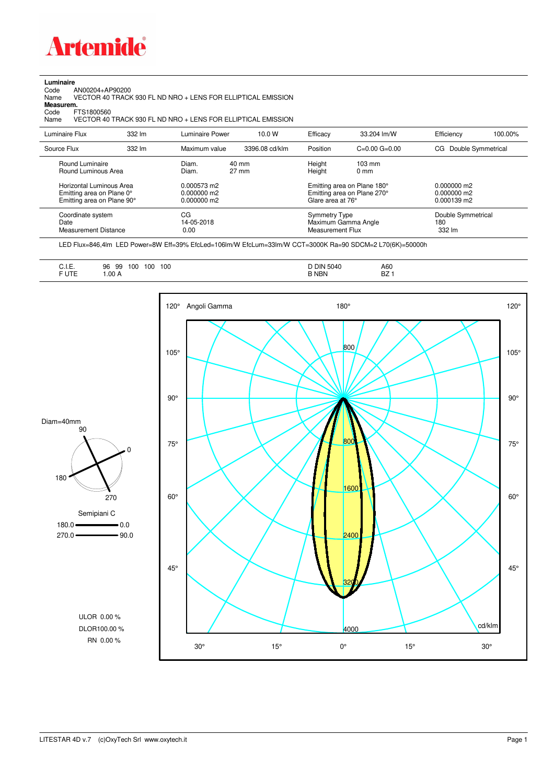

**Luminaire**<br>Code /<br>Name Code AN00204+AP90200 Name VECTOR 40 TRACK 930 FL ND NRO + LENS FOR ELLIPTICAL EMISSION **Measurem.**

Code FTS1800560<br>Name VECTOR 40 Name VECTOR 40 TRACK 930 FL ND NRO + LENS FOR ELLIPTICAL EMISSION

| Luminaire Flux                                                                                  | 332 lm | Luminaire Power                                | 10.0 W                   | Efficacy                          | 33.204 lm/W                                                                                      | Efficiency                          | 100.00% |
|-------------------------------------------------------------------------------------------------|--------|------------------------------------------------|--------------------------|-----------------------------------|--------------------------------------------------------------------------------------------------|-------------------------------------|---------|
| Source Flux                                                                                     | 332 lm | Maximum value                                  | 3396.08 cd/klm           | Position                          | $C=0.00$ $G=0.00$                                                                                | Double Symmetrical<br>CG.           |         |
| Round Luminaire<br>Round Luminous Area<br>Horizontal Luminous Area<br>Emitting area on Plane 0° |        | Diam.<br>Diam.<br>0.000573 m2<br>$0.000000$ m2 | 40 mm<br>$27 \text{ mm}$ | Height<br>Height                  | $103 \text{ mm}$<br>$0 \text{ mm}$<br>Emitting area on Plane 180°<br>Emitting area on Plane 270° | $0.000000$ m2<br>$0.000000$ m2      |         |
| Emitting area on Plane 90°                                                                      |        | $0.000000$ m2                                  |                          | Glare area at 76°                 |                                                                                                  | $0.000139$ m2                       |         |
| Coordinate system<br>Date<br>Measurement Distance                                               |        | CG<br>14-05-2018<br>0.00                       |                          | Symmetry Type<br>Measurement Flux | Maximum Gamma Angle                                                                              | Double Symmetrical<br>180<br>332 lm |         |

LED Flux=846,4lm LED Power=8W Eff=39% EfcLed=106lm/W EfcLum=33lm/W CCT=3000K Ra=90 SDCM=2 L70(6K)=50000h

| A60<br>◡……<br>F UTE<br><b>BZ</b><br>B NBN<br>.00A<br>______ |
|-------------------------------------------------------------|
|-------------------------------------------------------------|